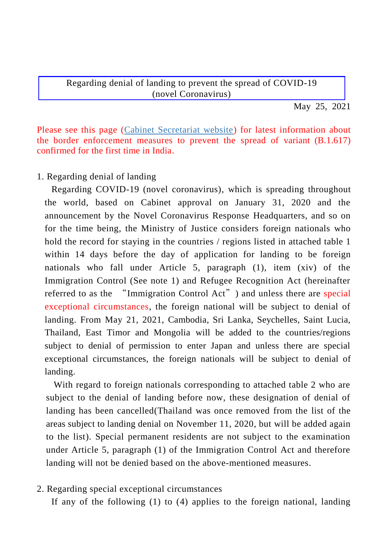Regarding denial of landing to prevent the spread of COVID-19 (novel Coronavirus)

May 25, 2021

Please see this page [\(Cabinet Secretariat website\)](https://corona.go.jp/news/pdf/mizugiwataisaku_20210525_01.pdf) for latest information about the border enforcement measures to prevent the spread of variant (B.1.617) confirmed for the first time in India.

## 1. Regarding denial of landing

Regarding COVID-19 (novel coronavirus), which is spreading throughout the world, based on Cabinet approval on January 31, 2020 and the announcement by the Novel Coronavirus Response Headquarters, and so on for the time being, the Ministry of Justice considers foreign nationals who hold the record for staying in the countries / regions listed in attached table 1 within 14 days before the day of application for landing to be foreign nationals who fall under Article 5, paragraph (1), item (xiv) of the Immigration Control (See note 1) and Refugee Recognition Act (hereinafter referred to as the "Immigration Control Act") and unless there are special exceptional circumstances, the foreign national will be subject to denial of landing. From May 21, 2021, Cambodia, Sri Lanka, Seychelles, Saint Lucia, Thailand, East Timor and Mongolia will be added to the countries/regions subject to denial of permission to enter Japan and unless there are special exceptional circumstances, the foreign nationals will be subject to denial of landing.

With regard to foreign nationals corresponding to attached table 2 who are subject to the denial of landing before now, these designation of denial of landing has been cancelled(Thailand was once removed from the list of the areas subject to landing denial on November 11, 2020, but will be added again to the list). Special permanent residents are not subject to the examination under Article 5, paragraph (1) of the Immigration Control Act and therefore landing will not be denied based on the above-mentioned measures.

## 2. Regarding special exceptional circumstances

If any of the following (1) to (4) applies to the foreign national, landing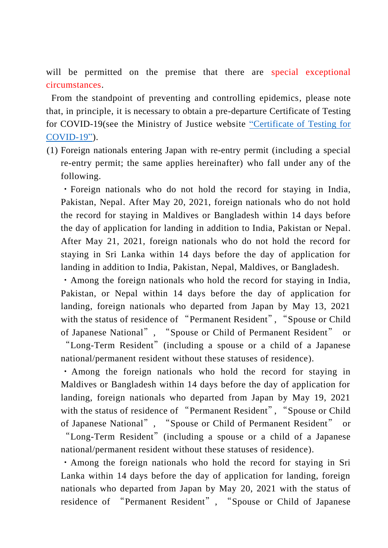will be permitted on the premise that there are special exceptional circumstances.

From the standpoint of preventing and controlling epidemics, please note that, in principle, it is necessary to obtain a pre-departure Certificate of Testing for COVID-19(see the Ministry of Justice website ["Certificate of Testing for](http://www.moj.go.jp/isa/content/001347333.pdf)  [COVID-19"\)](http://www.moj.go.jp/isa/content/001347333.pdf).

(1) Foreign nationals entering Japan with re-entry permit (including a special re-entry permit; the same applies hereinafter) who fall under any of the following.

・Foreign nationals who do not hold the record for staying in India, Pakistan, Nepal. After May 20, 2021, foreign nationals who do not hold the record for staying in Maldives or Bangladesh within 14 days before the day of application for landing in addition to India, Pakistan or Nepal. After May 21, 2021, foreign nationals who do not hold the record for staying in Sri Lanka within 14 days before the day of application for landing in addition to India, Pakistan, Nepal, Maldives, or Bangladesh.

・Among the foreign nationals who hold the record for staying in India, Pakistan, or Nepal within 14 days before the day of application for landing, foreign nationals who departed from Japan by May 13, 2021 with the status of residence of "Permanent Resident", "Spouse or Child of Japanese National", "Spouse or Child of Permanent Resident" "Long-Term Resident"(including a spouse or a child of a Japanese national/permanent resident without these statuses of residence).

・Among the foreign nationals who hold the record for staying in Maldives or Bangladesh within 14 days before the day of application for landing, foreign nationals who departed from Japan by May 19, 2021 with the status of residence of "Permanent Resident", "Spouse or Child of Japanese National", "Spouse or Child of Permanent Resident" or "Long-Term Resident"(including a spouse or a child of a Japanese national/permanent resident without these statuses of residence).

・Among the foreign nationals who hold the record for staying in Sri Lanka within 14 days before the day of application for landing, foreign nationals who departed from Japan by May 20, 2021 with the status of residence of "Permanent Resident", "Spouse or Child of Japanese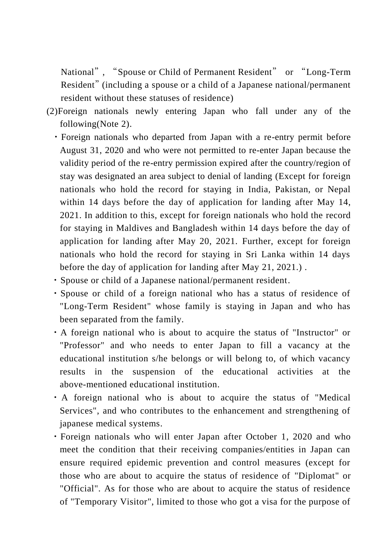National", "Spouse or Child of Permanent Resident" or "Long-Term Resident" (including a spouse or a child of a Japanese national/permanent resident without these statuses of residence)

- (2)Foreign nationals newly entering Japan who fall under any of the following(Note 2).
	- ・Foreign nationals who departed from Japan with a re-entry permit before August 31, 2020 and who were not permitted to re-enter Japan because the validity period of the re-entry permission expired after the country/region of stay was designated an area subject to denial of landing (Except for foreign nationals who hold the record for staying in India, Pakistan, or Nepal within 14 days before the day of application for landing after May 14, 2021. In addition to this, except for foreign nationals who hold the record for staying in Maldives and Bangladesh within 14 days before the day of application for landing after May 20, 2021. Further, except for foreign nationals who hold the record for staying in Sri Lanka within 14 days before the day of application for landing after May 21, 2021.) .
	- ・Spouse or child of a Japanese national/permanent resident.
	- ・Spouse or child of a foreign national who has a status of residence of "Long-Term Resident" whose family is staying in Japan and who has been separated from the family.
	- ・A foreign national who is about to acquire the status of "Instructor" or "Professor" and who needs to enter Japan to fill a vacancy at the educational institution s/he belongs or will belong to, of which vacancy results in the suspension of the educational activities at the above-mentioned educational institution.
	- ・A foreign national who is about to acquire the status of "Medical Services", and who contributes to the enhancement and strengthening of japanese medical systems.
	- ・Foreign nationals who will enter Japan after October 1, 2020 and who meet the condition that their receiving companies/entities in Japan can ensure required epidemic prevention and control measures (except for those who are about to acquire the status of residence of "Diplomat" or "Official". As for those who are about to acquire the status of residence of "Temporary Visitor", limited to those who got a visa for the purpose of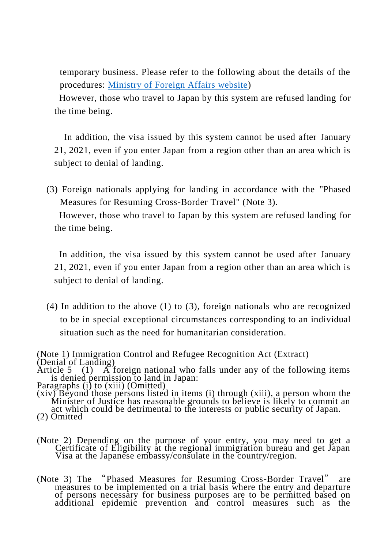temporary business. Please refer to the following about the details of the procedures: [Ministry of Foreign Affairs website\)](https://www.mofa.go.jp/mofaj/ca/fna/page22_003381.html)

However, those who travel to Japan by this system are refused landing for the time being.

In addition, the visa issued by this system cannot be used after January 21, 2021, even if you enter Japan from a region other than an area which is subject to denial of landing.

(3) Foreign nationals applying for landing in accordance with the "Phased Measures for Resuming Cross-Border Travel" (Note 3).

However, those who travel to Japan by this system are refused landing for the time being.

In addition, the visa issued by this system cannot be used after January 21, 2021, even if you enter Japan from a region other than an area which is subject to denial of landing.

(4) In addition to the above (1) to (3), foreign nationals who are recognized to be in special exceptional circumstances corresponding to an individual situation such as the need for humanitarian consideration.

(Note 1) Immigration Control and Refugee Recognition Act (Extract) (Denial of Landing)

Article 5 (1) A foreign national who falls under any of the following items is denied permission to land in Japan:

- (xiv) Beyond those persons listed in items (i) through (xiii), a person whom the Minister of Justice has reasonable grounds to believe is likely to commit an act which could be detrimental to the interests or public security of Japan. (2) Omitted
- (Note 2) Depending on the purpose of your entry, you may need to get a Certificate of Eligibility at the regional immigration bureau and get Japan Visa at the Japanese embassy/consulate in the country/region.
- (Note 3) The "Phased Measures for Resuming Cross-Border Travel" are measures to be implemented on a trial basis where the entry and departure of persons necessary for business purposes are to be permitted based on additional epidemic prevention and control measures such as the

Paragraphs (i) to (xiii) (Omitted)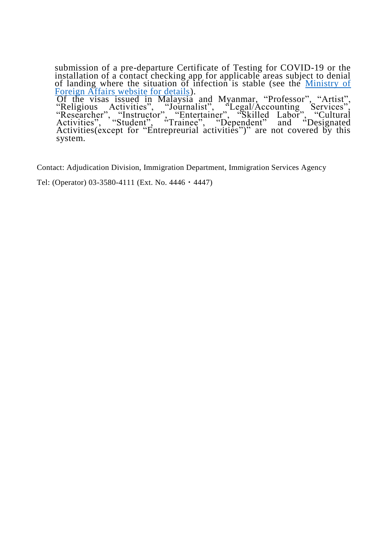submission of a pre-departure Certificate of Testing for COVID-19 or the installation of a contact checking app for applicable areas subject to denial of landing where the situation of infection is stable (see the Ministry of [Foreign Affairs website for details\)](https://www.mofa.go.jp/mofaj/ca/cp/page22_003380.html).

 Of the visas issued in Malaysia and Myanmar, "Professor", "Artist", "Religious Activities", "Journalist", "Legal/Accounting Services", "Researcher", "Instructor", "Entertainer", "Skilled Labor", "Cultural Activities", "Student", "Trainee", "Dependent" and "Designated Activities(except for "Entrepreurial activities")" are not covered by this system.

Contact: Adjudication Division, Immigration Department, Immigration Services Agency

Tel: (Operator) 03-3580-4111 (Ext. No. 4446・4447)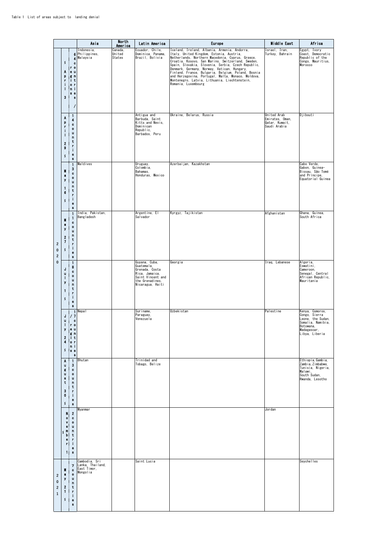|                                                                     |                                                                                         |                                                                                                                                                   | Asia                                                         | North<br>America            | Latin America                                                                                                               | <b>Europe</b>                                                                                                                                                                                                                                                                                                                                                                                                                                                                              | Middle East                                                      | Africa                                                                                                                   |
|---------------------------------------------------------------------|-----------------------------------------------------------------------------------------|---------------------------------------------------------------------------------------------------------------------------------------------------|--------------------------------------------------------------|-----------------------------|-----------------------------------------------------------------------------------------------------------------------------|--------------------------------------------------------------------------------------------------------------------------------------------------------------------------------------------------------------------------------------------------------------------------------------------------------------------------------------------------------------------------------------------------------------------------------------------------------------------------------------------|------------------------------------------------------------------|--------------------------------------------------------------------------------------------------------------------------|
|                                                                     | s<br>Α<br>p<br>r<br>i.<br>т<br>3                                                        | 6<br>4<br>$\bullet$<br>r <sub>0</sub><br>0 <sub>u</sub><br>gn<br>∣i t<br>0 <sub>1</sub><br>in i<br>8 <sub>0</sub><br>8                            | Indonesia,<br>Philippines,<br>Malaysia                       | Canada,<br>United<br>States | Ecuador, Chile,<br>Dominica, Panama,<br>Brazil, Bolivia                                                                     | Iceland, Ireland, Albania, Armenia, Andorra,<br>Italy, United Kingdom, Estonia, Austria,<br>Netherlands, Northern Macedonia, Cyprus, Greece,<br>Croatia, Kosovo, San Marino, Switzerland, Sweden,<br>Spain, Slovakia, Slovenia, Serbia, Czech Republic,<br>Denmark, Germany, Norway, Vatican, Hungary,<br>Finland, France, Bulgaria, Belgium, Poland, Bosnia<br>and Herzegovina, Portugal, Malta, Monaco, Moldova,<br>Montenegro, Latvia, Lithuania, Liechtenstein,<br>Romania, Luxembourg | Israel, Iran,<br>Turkey, Bahrain                                 | Egypt, Ivory<br>Coast, Democratic<br>Republic of the<br>Congo, Mauritius,<br>Morocco                                     |
| $\overline{\mathbf{c}}$<br>$\pmb{0}$<br>$\mathbf 2$<br>$\mathbf{0}$ | А<br>p<br>r<br>н<br>$\overline{2}$<br>$\pmb{9}$<br>\$                                   | 1<br>4<br>c<br>$\mathbf{o}$<br>u<br>$\mathbf n$<br>t<br>r<br>i.<br>e<br>$\bf 8$                                                                   |                                                              |                             | Antigua and<br>Barbuda, Saint<br>Kitts and Nevis,<br>Dominican<br>Republic,<br>Barbados, Peru                               | Ukraine, Belarus, Russia                                                                                                                                                                                                                                                                                                                                                                                                                                                                   | United Arab<br>Emirates, Oman,<br>Qatar, Kuwait,<br>Saudi Arabia | Djibouti                                                                                                                 |
|                                                                     | $\mathbf{a}$<br>у<br>1<br>6<br>$\mathbf{s}$                                             | $\mathbf{1}$<br>3<br>$\mathbf{G}$<br>$\pmb{\mathsf{o}}$<br>u<br>n<br>t<br>r<br>i.<br>$\pmb{\mathrm{o}}$<br>8                                      | Maldives                                                     |                             | Uruguay,<br>Colombia,<br>Bahamas,<br>Honduras, Mexico                                                                       | Azerbaijan, Kazakhstan                                                                                                                                                                                                                                                                                                                                                                                                                                                                     |                                                                  | Cabo Verde,<br>Gabon, Guinea-<br>Bissau, São Tomé<br>and Principe.<br>Equatorial Guinea                                  |
|                                                                     | а<br>y<br>$\boldsymbol{2}$<br>$\overline{\phantom{a}}$<br>\$                            | 1<br>1<br>c<br>$\mathbf{o}$<br>$\mathbf{u}$<br>n<br>t<br>۲<br>i.<br>$\bullet$<br>8                                                                | India, Pakistan,<br>Bangladesh                               |                             | Argentine, El<br>Salvador                                                                                                   | Kyrgyz, Tajikistan                                                                                                                                                                                                                                                                                                                                                                                                                                                                         | Afghanistan                                                      | Ghana, Guinea,<br>South Africa                                                                                           |
|                                                                     | J<br>ш<br>п<br>y<br>1<br>s                                                              | 1<br>8<br>¢<br>$\mathbf 0$<br>u<br>n<br>t<br>۲<br>i.<br>$\bullet$<br>8                                                                            |                                                              |                             | Guyana, Cuba,<br>Guatemala,<br>Grenada, Costa<br>Rica, Jamaica,<br>Saint Vincent and<br>the Grenadines,<br>Nicaragua, Haiti | Georgia                                                                                                                                                                                                                                                                                                                                                                                                                                                                                    | Iraq, Lebanese                                                   | Algeria,<br>Eswatini,<br>Cameroon,<br>Senegal, Central<br>African Republic,<br>Mauritania                                |
|                                                                     | J<br>u<br>T.<br>у<br>$\boldsymbol{2}$<br>4<br>s                                         | $\mathbf{1}$<br>77<br>$^{\circ}$<br>r <sub>o</sub><br>$\bullet$ u<br>g n<br>Πt<br>0 <sub>1</sub><br>n <sub>1</sub><br>8 <sub>0</sub><br>$\bullet$ | Nepal                                                        |                             | Sur iname,<br>Paraguay,<br>Venezuela                                                                                        | Uzbekistan                                                                                                                                                                                                                                                                                                                                                                                                                                                                                 | Palestine                                                        | Kenya, Comoros,<br>Congo, Sierra<br>Leone. the Sudan.<br>Somalia, Namibia,<br>Botswana,<br>Madagascar,<br>Libya, Liberia |
|                                                                     | ٨<br>u<br>g<br>u<br>$\mathbf{s}$<br>t<br>3<br>0<br>\$                                   | $\mathbf{1}$<br>3<br>$\mathbf{c}$<br>$\mathbf{o}$<br>u<br>$\mathbf n$<br>t<br>r.<br>j.<br>$\bullet$<br>$\bf 3$                                    | Bhutan                                                       |                             | Trinidad and<br>Tobago, Belize                                                                                              |                                                                                                                                                                                                                                                                                                                                                                                                                                                                                            |                                                                  | Ethiopia, Gambia,<br>Zambia, Zimbabwe,<br>Tunisia, Nigeria,<br>Malawi,<br>South Sudan,<br>Rwanda, Lesotho                |
|                                                                     | N.<br>$\bullet$<br>V.<br>$\bullet$<br>m<br>K<br>b.<br>$\bullet$<br>г.<br>$\blacksquare$ | $\overline{2}$<br>$\mathbf c$<br>$\bullet$<br>$\mathbf u$<br>$\mathbf n$<br>t<br>$\mathbf r$<br>j.<br>$\bullet$<br>$\bf s$                        | Myanmar                                                      |                             |                                                                                                                             |                                                                                                                                                                                                                                                                                                                                                                                                                                                                                            | Jordan                                                           |                                                                                                                          |
| $\mathbf 2$<br>$\pmb{0}$<br>$\mathbf 2$<br>$\mathbf 1$              | $\mathbf{a}$<br>У<br>$\boldsymbol{2}$<br>1<br>\$                                        | $\overline{\phantom{a}}$<br>$\bf{c}$<br>$\bullet$<br>$\mathbf{u}$<br>n<br>t<br>r<br>i.<br>0<br>8                                                  | Cambodia, Sri<br>Lanka, Thailand,<br>East Timor,<br>Mongolia |                             | Saint Lucia                                                                                                                 |                                                                                                                                                                                                                                                                                                                                                                                                                                                                                            |                                                                  | Seychelles                                                                                                               |